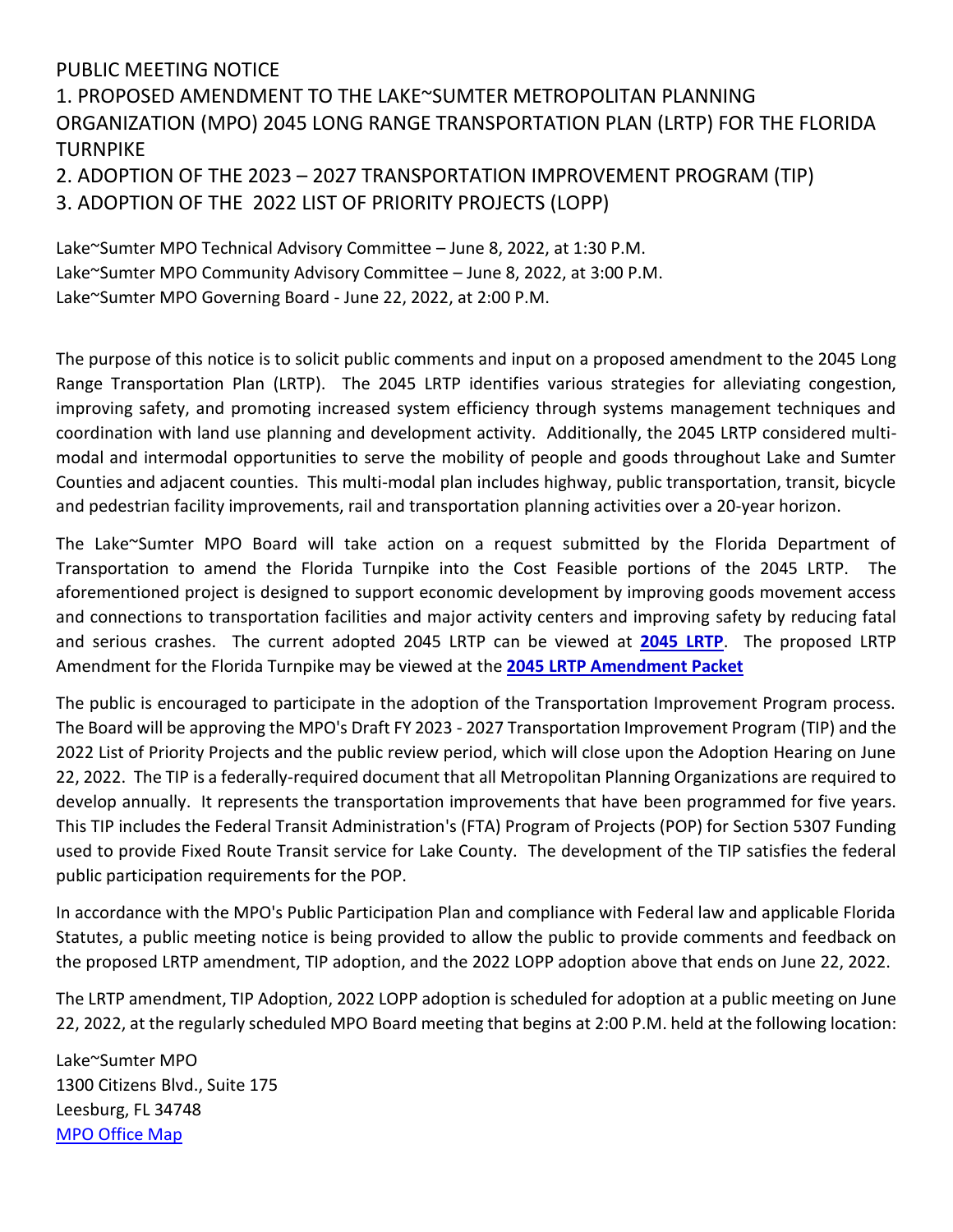## PUBLIC MEETING NOTICE

## 1. PROPOSED AMENDMENT TO THE LAKE~SUMTER METROPOLITAN PLANNING ORGANIZATION (MPO) 2045 LONG RANGE TRANSPORTATION PLAN (LRTP) FOR THE FLORIDA **TURNPIKE**

2. ADOPTION OF THE 2023 – 2027 TRANSPORTATION IMPROVEMENT PROGRAM (TIP) 3. ADOPTION OF THE 2022 LIST OF PRIORITY PROJECTS (LOPP)

Lake~Sumter MPO Technical Advisory Committee – June 8, 2022, at 1:30 P.M. Lake~Sumter MPO Community Advisory Committee – June 8, 2022, at 3:00 P.M. Lake~Sumter MPO Governing Board - June 22, 2022, at 2:00 P.M.

The purpose of this notice is to solicit public comments and input on a proposed amendment to the 2045 Long Range Transportation Plan (LRTP). The 2045 LRTP identifies various strategies for alleviating congestion, improving safety, and promoting increased system efficiency through systems management techniques and coordination with land use planning and development activity. Additionally, the 2045 LRTP considered multimodal and intermodal opportunities to serve the mobility of people and goods throughout Lake and Sumter Counties and adjacent counties. This multi-modal plan includes highway, public transportation, transit, bicycle and pedestrian facility improvements, rail and transportation planning activities over a 20-year horizon.

The Lake~Sumter MPO Board will take action on a request submitted by the Florida Department of Transportation to amend the Florida Turnpike into the Cost Feasible portions of the 2045 LRTP. The aforementioned project is designed to support economic development by improving goods movement access and connections to transportation facilities and major activity centers and improving safety by reducing fatal and serious crashes. The current adopted 2045 LRTP can be viewed at **[2045 LRTP](http://www.lakesumtermpo.com/media/k45hpyix/lsmpo_2045-lrtp_final-report-adav1.pdf)**. The proposed LRTP Amendment for the Florida Turnpike may be viewed at the **[2045 LRTP Amendment Packet](http://www.lakesumtermpo.com/media/zael0zus/lsmpo_2045-lrtp_amendment_june-2022_agenda.pdf)**

The public is encouraged to participate in the adoption of the Transportation Improvement Program process. The Board will be approving the MPO's Draft FY 2023 - 2027 Transportation Improvement Program (TIP) and the 2022 List of Priority Projects and the public review period, which will close upon the Adoption Hearing on June 22, 2022. The TIP is a federally-required document that all Metropolitan Planning Organizations are required to develop annually. It represents the transportation improvements that have been programmed for five years. This TIP includes the Federal Transit Administration's (FTA) Program of Projects (POP) for Section 5307 Funding used to provide Fixed Route Transit service for Lake County. The development of the TIP satisfies the federal public participation requirements for the POP.

In accordance with the MPO's Public Participation Plan and compliance with Federal law and applicable Florida Statutes, a public meeting notice is being provided to allow the public to provide comments and feedback on the proposed LRTP amendment, TIP adoption, and the 2022 LOPP adoption above that ends on June 22, 2022.

The LRTP amendment, TIP Adoption, 2022 LOPP adoption is scheduled for adoption at a public meeting on June 22, 2022, at the regularly scheduled MPO Board meeting that begins at 2:00 P.M. held at the following location:

Lake~Sumter MPO 1300 Citizens Blvd., Suite 175 Leesburg, FL 34748 MPO Office Map